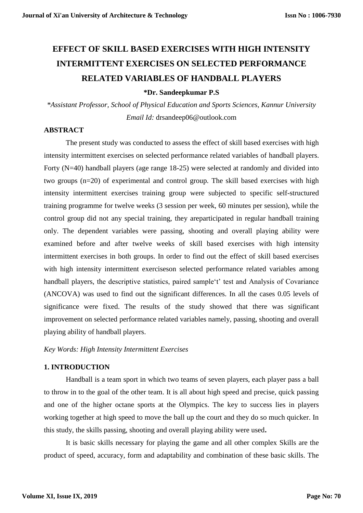# **EFFECT OF SKILL BASED EXERCISES WITH HIGH INTENSITY INTERMITTENT EXERCISES ON SELECTED PERFORMANCE RELATED VARIABLES OF HANDBALL PLAYERS**

**\*Dr. Sandeepkumar P.S**

*\*Assistant Professor, School of Physical Education and Sports Sciences, Kannur University Email Id:* [drsandeep06@outlook.com](mailto:drsandeep06@outlook.com)

# **ABSTRACT**

The present study was conducted to assess the effect of skill based exercises with high intensity intermittent exercises on selected performance related variables of handball players. Forty (N=40) handball players (age range 18-25) were selected at randomly and divided into two groups (n=20) of experimental and control group. The skill based exercises with high intensity intermittent exercises training group were subjected to specific self-structured training programme for twelve weeks (3 session per week, 60 minutes per session), while the control group did not any special training, they areparticipated in regular handball training only. The dependent variables were passing, shooting and overall playing ability were examined before and after twelve weeks of skill based exercises with high intensity intermittent exercises in both groups. In order to find out the effect of skill based exercises with high intensity intermittent exerciseson selected performance related variables among handball players, the descriptive statistics, paired sample't' test and Analysis of Covariance (ANCOVA) was used to find out the significant differences. In all the cases 0.05 levels of significance were fixed. The results of the study showed that there was significant improvement on selected performance related variables namely, passing, shooting and overall playing ability of handball players.

#### *Key Words: High Intensity Intermittent Exercises*

#### **1. INTRODUCTION**

Handball is a team sport in which two teams of seven players, each player pass a ball to throw in to the goal of the other team. It is all about high speed and precise, quick passing and one of the higher octane sports at the Olympics. The key to success lies in players working together at high speed to move the ball up the court and they do so much quicker. In this study, the skills passing, shooting and overall playing ability were used**.** 

It is basic skills necessary for playing the game and all other complex Skills are the product of speed, accuracy, form and adaptability and combination of these basic skills. The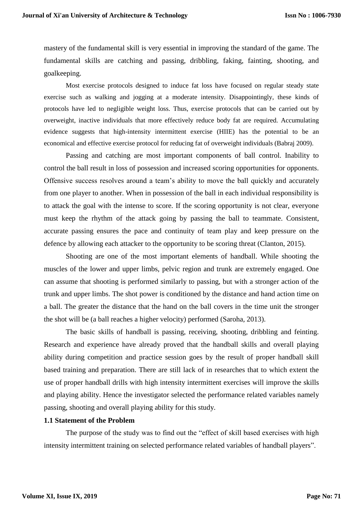mastery of the fundamental skill is very essential in improving the standard of the game. The fundamental skills are catching and passing, dribbling, faking, fainting, shooting, and goalkeeping.

Most exercise protocols designed to induce fat loss have focused on regular steady state exercise such as walking and jogging at a moderate intensity. Disappointingly, these kinds of protocols have led to negligible weight loss. Thus, exercise protocols that can be carried out by overweight, inactive individuals that more effectively reduce body fat are required. Accumulating evidence suggests that high-intensity intermittent exercise (HIIE) has the potential to be an economical and effective exercise protocol for reducing fat of overweight individuals (Babraj 2009).

Passing and catching are most important components of ball control. Inability to control the ball result in loss of possession and increased scoring opportunities for opponents. Offensive success resolves around a team's ability to move the ball quickly and accurately from one player to another. When in possession of the ball in each individual responsibility is to attack the goal with the intense to score. If the scoring opportunity is not clear, everyone must keep the rhythm of the attack going by passing the ball to teammate. Consistent, accurate passing ensures the pace and continuity of team play and keep pressure on the defence by allowing each attacker to the opportunity to be scoring threat (Clanton, 2015).

Shooting are one of the most important elements of handball. While shooting the muscles of the lower and upper limbs, pelvic region and trunk are extremely engaged. One can assume that shooting is performed similarly to passing, but with a stronger action of the trunk and upper limbs. The shot power is conditioned by the distance and hand action time on a ball. The greater the distance that the hand on the ball covers in the time unit the stronger the shot will be (a ball reaches a higher velocity) performed (Saroha, 2013).

The basic skills of handball is passing, receiving, shooting, dribbling and feinting. Research and experience have already proved that the handball skills and overall playing ability during competition and practice session goes by the result of proper handball skill based training and preparation. There are still lack of in researches that to which extent the use of proper handball drills with high intensity intermittent exercises will improve the skills and playing ability. Hence the investigator selected the performance related variables namely passing, shooting and overall playing ability for this study.

#### **1.1 Statement of the Problem**

The purpose of the study was to find out the "effect of skill based exercises with high intensity intermittent training on selected performance related variables of handball players".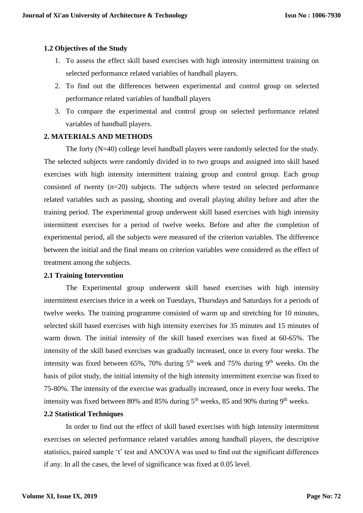### **1.2 Objectives of the Study**

- 1. To assess the effect skill based exercises with high intensity intermittent training on selected performance related variables of handball players.
- 2. To find out the differences between experimental and control group on selected performance related variables of handball players
- 3. To compare the experimental and control group on selected performance related variables of handball players.

#### **2. MATERIALS AND METHODS**

The forty (N=40) college level handball players were randomly selected for the study. The selected subjects were randomly divided in to two groups and assigned into skill based exercises with high intensity intermittent training group and control group. Each group consisted of twenty (n=20) subjects. The subjects where tested on selected performance related variables such as passing, shooting and overall playing ability before and after the training period. The experimental group underwent skill based exercises with high intensity intermittent exercises for a period of twelve weeks. Before and after the completion of experimental period, all the subjects were measured of the criterion variables. The difference between the initial and the final means on criterion variables were considered as the effect of treatment among the subjects.

#### **2.1 Training Intervention**

The Experimental group underwent skill based exercises with high intensity intermittent exercises thrice in a week on Tuesdays, Thursdays and Saturdays for a periods of twelve weeks. The training programme consisted of warm up and stretching for 10 minutes, selected skill based exercises with high intensity exercises for 35 minutes and 15 minutes of warm down. The initial intensity of the skill based exercises was fixed at 60-65%. The intensity of the skill based exercises was gradually increased, once in every four weeks. The intensity was fixed between 65%, 70% during  $5<sup>th</sup>$  week and 75% during 9<sup>th</sup> weeks. On the basis of pilot study, the initial intensity of the high intensity intermittent exercise was fixed to 75-80%. The intensity of the exercise was gradually increased, once in every four weeks. The intensity was fixed between 80% and 85% during  $5<sup>th</sup>$  weeks, 85 and 90% during 9<sup>th</sup> weeks.

#### **2.2 Statistical Techniques**

In order to find out the effect of skill based exercises with high intensity intermittent exercises on selected performance related variables among handball players, the descriptive statistics, paired sample 't' test and ANCOVA was used to find out the significant differences if any. In all the cases, the level of significance was fixed at 0.05 level.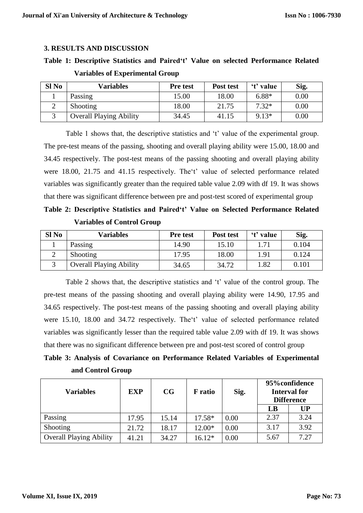## **3. RESULTS AND DISCUSSION**

# **Table 1: Descriptive Statistics and Paired't' Value on selected Performance Related**

| Sl <sub>No</sub> | Variables                      | <b>Pre</b> test | Post test | 't' value | Sig. |
|------------------|--------------------------------|-----------------|-----------|-----------|------|
|                  | Passing                        | 15.00           | 18.00     | $6.88*$   | 0.00 |
|                  | Shooting                       | 18.00           | 21.75     | $7.32*$   | 0.00 |
|                  | <b>Overall Playing Ability</b> | 34.45           | 41.15     | $9.13*$   | 0.00 |

#### **Variables of Experimental Group**

Table 1 shows that, the descriptive statistics and 't' value of the experimental group. The pre-test means of the passing, shooting and overall playing ability were 15.00, 18.00 and 34.45 respectively. The post-test means of the passing shooting and overall playing ability were 18.00, 21.75 and 41.15 respectively. The't' value of selected performance related variables was significantly greater than the required table value 2.09 with df 19. It was shows that there was significant difference between pre and post-test scored of experimental group

**Table 2: Descriptive Statistics and Paired't' Value on Selected Performance Related Variables of Control Group**

| Sl No | Variables                      | Pre test | Post test | 't' value | Sig.  |
|-------|--------------------------------|----------|-----------|-----------|-------|
|       | Passing                        | 14.90    | 15.10     |           | 0.104 |
|       | Shooting                       | 17.95    | 18.00     | 1.91      | 0.124 |
|       | <b>Overall Playing Ability</b> | 34.65    | 34.72     | 1.82      | 0.101 |

Table 2 shows that, the descriptive statistics and 't' value of the control group. The pre-test means of the passing shooting and overall playing ability were 14.90, 17.95 and 34.65 respectively. The post-test means of the passing shooting and overall playing ability were 15.10, 18.00 and 34.72 respectively. The't' value of selected performance related variables was significantly lesser than the required table value 2.09 with df 19. It was shows that there was no significant difference between pre and post-test scored of control group

**Table 3: Analysis of Covariance on Performance Related Variables of Experimental and Control Group**

| <b>Variables</b>               | <b>EXP</b> | CG    | <b>F</b> ratio | Sig. | 95% confidence<br><b>Interval for</b><br><b>Difference</b> |      |
|--------------------------------|------------|-------|----------------|------|------------------------------------------------------------|------|
|                                |            |       |                |      | LB                                                         | UP   |
| Passing                        | 17.95      | 15.14 | $17.58*$       | 0.00 | 2.37                                                       | 3.24 |
| Shooting                       | 21.72      | 18.17 | $12.00*$       | 0.00 | 3.17                                                       | 3.92 |
| <b>Overall Playing Ability</b> | 41.21      | 34.27 | $16.12*$       | 0.00 | 5.67                                                       | 7.27 |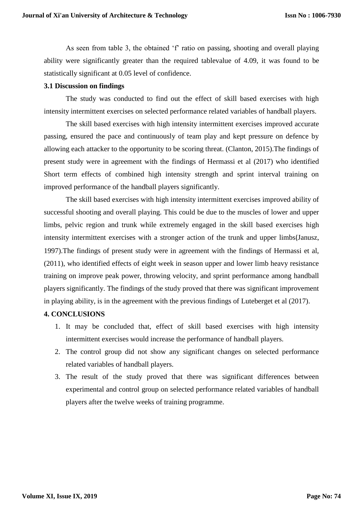As seen from table 3, the obtained 'f' ratio on passing, shooting and overall playing ability were significantly greater than the required tablevalue of 4.09, it was found to be statistically significant at 0.05 level of confidence.

#### **3.1 Discussion on findings**

The study was conducted to find out the effect of skill based exercises with high intensity intermittent exercises on selected performance related variables of handball players.

The skill based exercises with high intensity intermittent exercises improved accurate passing, ensured the pace and continuously of team play and kept pressure on defence by allowing each attacker to the opportunity to be scoring threat. (Clanton, 2015).The findings of present study were in agreement with the findings of Hermassi et al (2017) who identified Short term effects of combined high intensity strength and sprint interval training on improved performance of the handball players significantly.

The skill based exercises with high intensity intermittent exercises improved ability of successful shooting and overall playing. This could be due to the muscles of lower and upper limbs, pelvic region and trunk while extremely engaged in the skill based exercises high intensity intermittent exercises with a stronger action of the trunk and upper limbs(Janusz, 1997).The findings of present study were in agreement with the findings of Hermassi et al, (2011), who identified effects of eight week in season upper and lower limb heavy resistance training on improve peak power, throwing velocity, and sprint performance among handball players significantly. The findings of the study proved that there was significant improvement in playing ability, is in the agreement with the previous findings of Luteberget et al (2017).

# **4. CONCLUSIONS**

- 1. It may be concluded that, effect of skill based exercises with high intensity intermittent exercises would increase the performance of handball players.
- 2. The control group did not show any significant changes on selected performance related variables of handball players.
- 3. The result of the study proved that there was significant differences between experimental and control group on selected performance related variables of handball players after the twelve weeks of training programme.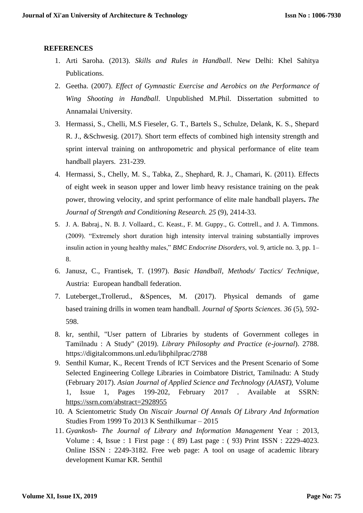# **REFERENCES**

- 1. Arti Saroha. (2013). *Skills and Rules in Handball*. New Delhi: Khel Sahitya Publications.
- 2. Geetha. (2007). *Effect of Gymnastic Exercise and Aerobics on the Performance of Wing Shooting in Handball*. Unpublished M.Phil. Dissertation submitted to Annamalai University.
- 3. Hermassi, S., Chelli, M.S Fieseler, G. T., Bartels S., Schulze, Delank, K. S., Shepard R. J., &Schwesig. (2017). Short term effects of combined high intensity strength and sprint interval training on anthropometric and physical performance of elite team handball players. 231-239.
- 4. Hermassi, S., Chelly, M. S., Tabka, Z., Shephard, R. J., Chamari, K. (2011). Effects of eight week in season upper and lower limb heavy resistance training on the peak power, throwing velocity, and sprint performance of elite male handball players**.** *The Journal of Strength and Conditioning Research. 25* (9), 2414-33.
- 5. J. A. Babraj., N. B. J. Vollaard., C. Keast., F. M. Guppy., G. Cottrell., and J. A. Timmons. (2009). "Extremely short duration high intensity interval training substantially improves insulin action in young healthy males," *BMC Endocrine Disorders*, vol. 9, article no. 3, pp. 1– 8.
- 6. Janusz, C., Frantisek, T. (1997). *Basic Handball, Methods/ Tactics/ Technique*, Austria: European handball federation.
- 7. Luteberget.,Trollerud., &Spences, M. (2017). Physical demands of game based training drills in women team handball. *Journal of Sports Sciences. 36* (5), 592- 598.
- 8. kr, senthil, "User pattern of Libraries by students of Government colleges in Tamilnadu : A Study" (2019). *Library Philosophy and Practice (e-journal*). 2788. https://digitalcommons.unl.edu/libphilprac/2788
- 9. Senthil Kumar, K., Recent Trends of ICT Services and the Present Scenario of Some Selected Engineering College Libraries in Coimbatore District, Tamilnadu: A Study (February 2017). *Asian Journal of Applied Science and Technology (AJAST),* Volume 1, Issue 1, Pages 199-202, February 2017 . Available at SSRN: <https://ssrn.com/abstract=2928955>
- 10. A Scientometric Study On *Niscair Journal Of Annals Of Library And Information* Studies From 1999 To 2013 K Senthilkumar – 2015
- 11. *Gyankosh The Journal of Library and Information Management* Year : 2013, Volume : 4, Issue : 1 First page : ( 89) Last page : ( 93) Print ISSN : 2229-4023. Online ISSN : 2249-3182. Free web page: A tool on usage of academic library development Kumar KR. Senthil